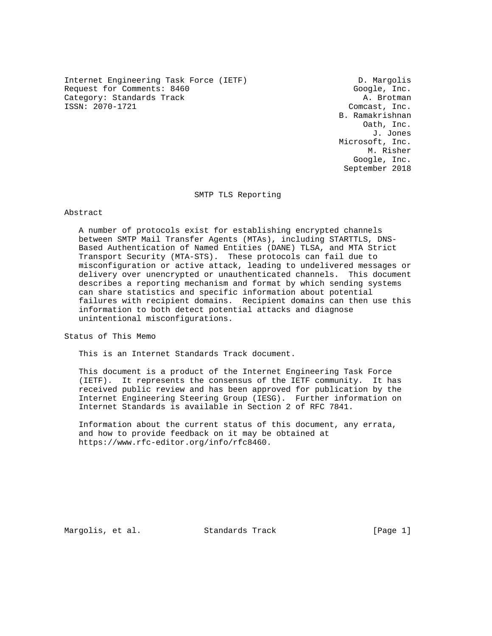Internet Engineering Task Force (IETF) D. Margolis Request for Comments: 8460 Google, Inc. Category: Standards Track and the control of the category: Standards Track A. Brotman A. Brotman (1987).

Comcast, Inc. B. Ramakrishnan Oath, Inc. J. Jones Microsoft, Inc. M. Risher Google, Inc. September 2018

SMTP TLS Reporting

## Abstract

 A number of protocols exist for establishing encrypted channels between SMTP Mail Transfer Agents (MTAs), including STARTTLS, DNS- Based Authentication of Named Entities (DANE) TLSA, and MTA Strict Transport Security (MTA-STS). These protocols can fail due to misconfiguration or active attack, leading to undelivered messages or delivery over unencrypted or unauthenticated channels. This document describes a reporting mechanism and format by which sending systems can share statistics and specific information about potential failures with recipient domains. Recipient domains can then use this information to both detect potential attacks and diagnose unintentional misconfigurations.

Status of This Memo

This is an Internet Standards Track document.

 This document is a product of the Internet Engineering Task Force (IETF). It represents the consensus of the IETF community. It has received public review and has been approved for publication by the Internet Engineering Steering Group (IESG). Further information on Internet Standards is available in Section 2 of RFC 7841.

 Information about the current status of this document, any errata, and how to provide feedback on it may be obtained at https://www.rfc-editor.org/info/rfc8460.

Margolis, et al. Standards Track [Page 1]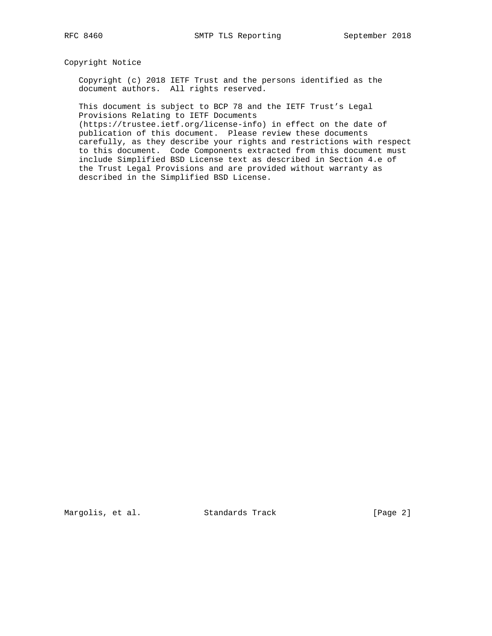Copyright Notice

 Copyright (c) 2018 IETF Trust and the persons identified as the document authors. All rights reserved.

 This document is subject to BCP 78 and the IETF Trust's Legal Provisions Relating to IETF Documents

 (https://trustee.ietf.org/license-info) in effect on the date of publication of this document. Please review these documents carefully, as they describe your rights and restrictions with respect to this document. Code Components extracted from this document must include Simplified BSD License text as described in Section 4.e of the Trust Legal Provisions and are provided without warranty as described in the Simplified BSD License.

Margolis, et al. Standards Track [Page 2]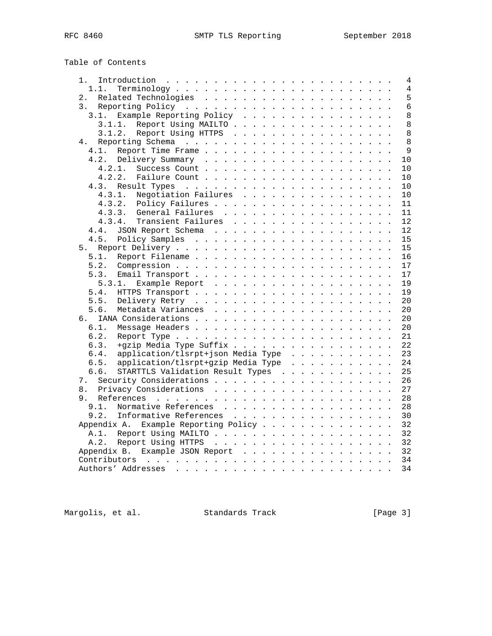# Table of Contents

| 1. |                                            |  |  |  | 4  |
|----|--------------------------------------------|--|--|--|----|
|    | 1.1.                                       |  |  |  | 4  |
| 2. |                                            |  |  |  | 5  |
| 3. |                                            |  |  |  | 6  |
|    | Example Reporting Policy<br>3.1.           |  |  |  | 8  |
|    | Report Using MAILTO<br>3.1.1.              |  |  |  | 8  |
|    | 3.1.2. Report Using HTTPS                  |  |  |  | 8  |
| 4. |                                            |  |  |  | 8  |
|    | Report Time Frame<br>4.1.                  |  |  |  | 9  |
|    | 4.2.<br>Delivery Summary                   |  |  |  | 10 |
|    | 4.2.1.                                     |  |  |  | 10 |
|    | 4.2.2.<br>Failure Count                    |  |  |  | 10 |
|    | 4.3.<br>Result Types                       |  |  |  | 10 |
|    | 4.3.1.<br>Negotiation Failures             |  |  |  | 10 |
|    | 4.3.2. Policy Failures                     |  |  |  | 11 |
|    | General Failures<br>4.3.3.                 |  |  |  | 11 |
|    | 4.3.4.<br>Transient Failures               |  |  |  | 12 |
|    | JSON Report Schema<br>4.4.                 |  |  |  | 12 |
|    | 4.5.<br>Policy Samples                     |  |  |  | 15 |
| 5. |                                            |  |  |  | 15 |
|    | 5.1.                                       |  |  |  | 16 |
|    | 5.2.                                       |  |  |  | 17 |
|    | 5.3.                                       |  |  |  | 17 |
|    | 5.3.1.<br>Example Report                   |  |  |  | 19 |
|    | 5.4.                                       |  |  |  |    |
|    |                                            |  |  |  | 19 |
|    | 5.5.                                       |  |  |  | 20 |
|    | Metadata Variances<br>5.6.                 |  |  |  | 20 |
| რ. |                                            |  |  |  | 20 |
|    | 6.1.                                       |  |  |  | 20 |
|    | 6.2.                                       |  |  |  | 21 |
|    | 6.3.<br>+gzip Media Type Suffix            |  |  |  | 22 |
|    | application/tlsrpt+json Media Type<br>6.4. |  |  |  | 23 |
|    | application/tlsrpt+gzip Media Type<br>6.5. |  |  |  | 24 |
|    | STARTTLS Validation Result Types<br>6.6.   |  |  |  | 25 |
| 7. |                                            |  |  |  | 26 |
| 8. | Privacy Considerations                     |  |  |  | 27 |
| 9. |                                            |  |  |  | 28 |
|    | Normative References<br>9.1.               |  |  |  | 28 |
|    | 9.2.<br>Informative References             |  |  |  | 30 |
|    | Example Reporting Policy<br>Appendix A.    |  |  |  | 32 |
|    | A.1. Report Using MAILTO                   |  |  |  | 32 |
|    | Report Using HTTPS<br>A.2.                 |  |  |  | 32 |
|    | Appendix B. Example JSON Report            |  |  |  | 32 |
|    |                                            |  |  |  | 34 |
|    |                                            |  |  |  | 34 |
|    |                                            |  |  |  |    |

Margolis, et al. Standards Track [Page 3]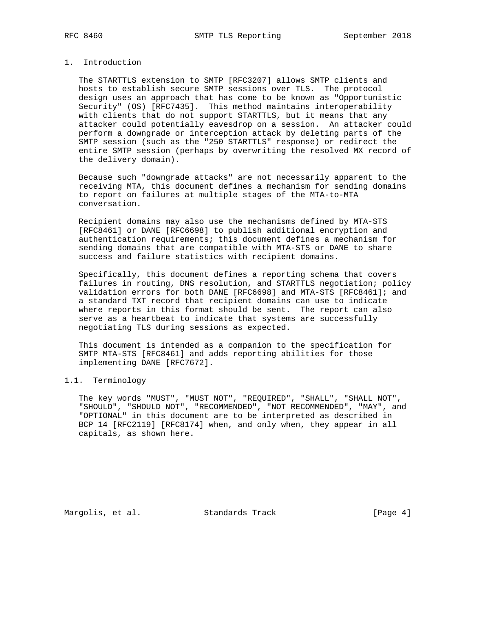## 1. Introduction

 The STARTTLS extension to SMTP [RFC3207] allows SMTP clients and hosts to establish secure SMTP sessions over TLS. The protocol design uses an approach that has come to be known as "Opportunistic Security" (OS) [RFC7435]. This method maintains interoperability with clients that do not support STARTTLS, but it means that any attacker could potentially eavesdrop on a session. An attacker could perform a downgrade or interception attack by deleting parts of the SMTP session (such as the "250 STARTTLS" response) or redirect the entire SMTP session (perhaps by overwriting the resolved MX record of the delivery domain).

 Because such "downgrade attacks" are not necessarily apparent to the receiving MTA, this document defines a mechanism for sending domains to report on failures at multiple stages of the MTA-to-MTA conversation.

 Recipient domains may also use the mechanisms defined by MTA-STS [RFC8461] or DANE [RFC6698] to publish additional encryption and authentication requirements; this document defines a mechanism for sending domains that are compatible with MTA-STS or DANE to share success and failure statistics with recipient domains.

 Specifically, this document defines a reporting schema that covers failures in routing, DNS resolution, and STARTTLS negotiation; policy validation errors for both DANE [RFC6698] and MTA-STS [RFC8461]; and a standard TXT record that recipient domains can use to indicate where reports in this format should be sent. The report can also serve as a heartbeat to indicate that systems are successfully negotiating TLS during sessions as expected.

 This document is intended as a companion to the specification for SMTP MTA-STS [RFC8461] and adds reporting abilities for those implementing DANE [RFC7672].

# 1.1. Terminology

 The key words "MUST", "MUST NOT", "REQUIRED", "SHALL", "SHALL NOT", "SHOULD", "SHOULD NOT", "RECOMMENDED", "NOT RECOMMENDED", "MAY", and "OPTIONAL" in this document are to be interpreted as described in BCP 14 [RFC2119] [RFC8174] when, and only when, they appear in all capitals, as shown here.

Margolis, et al. Standards Track [Page 4]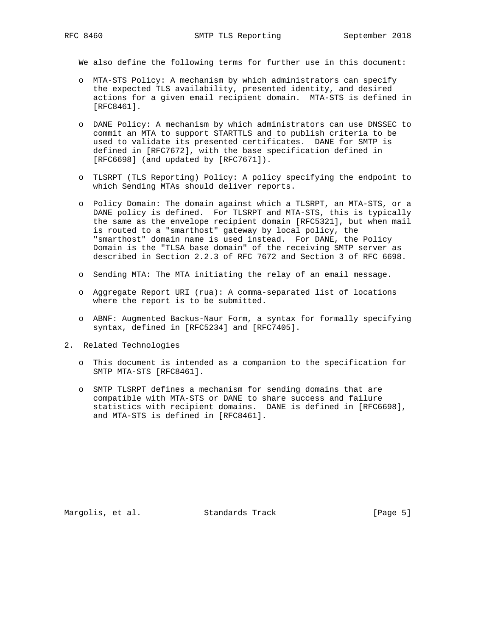We also define the following terms for further use in this document:

- o MTA-STS Policy: A mechanism by which administrators can specify the expected TLS availability, presented identity, and desired actions for a given email recipient domain. MTA-STS is defined in [RFC8461].
- o DANE Policy: A mechanism by which administrators can use DNSSEC to commit an MTA to support STARTTLS and to publish criteria to be used to validate its presented certificates. DANE for SMTP is defined in [RFC7672], with the base specification defined in [RFC6698] (and updated by [RFC7671]).
- o TLSRPT (TLS Reporting) Policy: A policy specifying the endpoint to which Sending MTAs should deliver reports.
- o Policy Domain: The domain against which a TLSRPT, an MTA-STS, or a DANE policy is defined. For TLSRPT and MTA-STS, this is typically the same as the envelope recipient domain [RFC5321], but when mail is routed to a "smarthost" gateway by local policy, the "smarthost" domain name is used instead. For DANE, the Policy Domain is the "TLSA base domain" of the receiving SMTP server as described in Section 2.2.3 of RFC 7672 and Section 3 of RFC 6698.
- o Sending MTA: The MTA initiating the relay of an email message.
- o Aggregate Report URI (rua): A comma-separated list of locations where the report is to be submitted.
- o ABNF: Augmented Backus-Naur Form, a syntax for formally specifying syntax, defined in [RFC5234] and [RFC7405].
- 2. Related Technologies
	- o This document is intended as a companion to the specification for SMTP MTA-STS [RFC8461].
	- o SMTP TLSRPT defines a mechanism for sending domains that are compatible with MTA-STS or DANE to share success and failure statistics with recipient domains. DANE is defined in [RFC6698], and MTA-STS is defined in [RFC8461].

Margolis, et al. Standards Track [Page 5]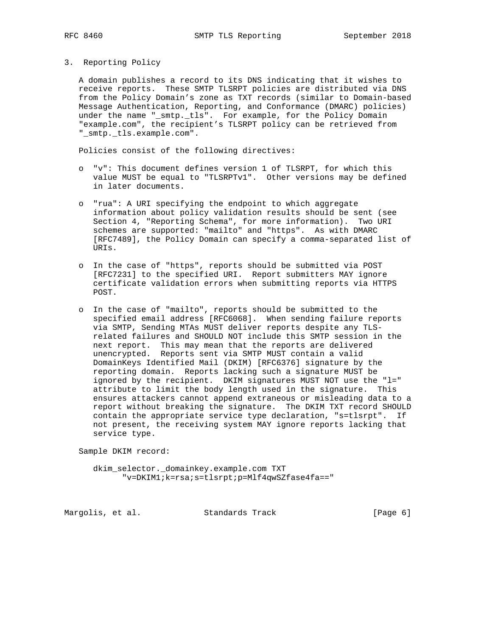- 
- 3. Reporting Policy

 A domain publishes a record to its DNS indicating that it wishes to receive reports. These SMTP TLSRPT policies are distributed via DNS from the Policy Domain's zone as TXT records (similar to Domain-based Message Authentication, Reporting, and Conformance (DMARC) policies) under the name "\_smtp.\_tls". For example, for the Policy Domain "example.com", the recipient's TLSRPT policy can be retrieved from "\_smtp.\_tls.example.com".

Policies consist of the following directives:

- o "v": This document defines version 1 of TLSRPT, for which this value MUST be equal to "TLSRPTv1". Other versions may be defined in later documents.
- o "rua": A URI specifying the endpoint to which aggregate information about policy validation results should be sent (see Section 4, "Reporting Schema", for more information). Two URI schemes are supported: "mailto" and "https". As with DMARC [RFC7489], the Policy Domain can specify a comma-separated list of URIs.
- o In the case of "https", reports should be submitted via POST [RFC7231] to the specified URI. Report submitters MAY ignore certificate validation errors when submitting reports via HTTPS POST.
- o In the case of "mailto", reports should be submitted to the specified email address [RFC6068]. When sending failure reports via SMTP, Sending MTAs MUST deliver reports despite any TLS related failures and SHOULD NOT include this SMTP session in the next report. This may mean that the reports are delivered unencrypted. Reports sent via SMTP MUST contain a valid DomainKeys Identified Mail (DKIM) [RFC6376] signature by the reporting domain. Reports lacking such a signature MUST be ignored by the recipient. DKIM signatures MUST NOT use the "l=" attribute to limit the body length used in the signature. This ensures attackers cannot append extraneous or misleading data to a report without breaking the signature. The DKIM TXT record SHOULD contain the appropriate service type declaration, "s=tlsrpt". If not present, the receiving system MAY ignore reports lacking that service type.

Sample DKIM record:

 dkim\_selector.\_domainkey.example.com TXT "v=DKIM1;k=rsa;s=tlsrpt;p=Mlf4qwSZfase4fa=="

Margolis, et al. Standards Track [Page 6]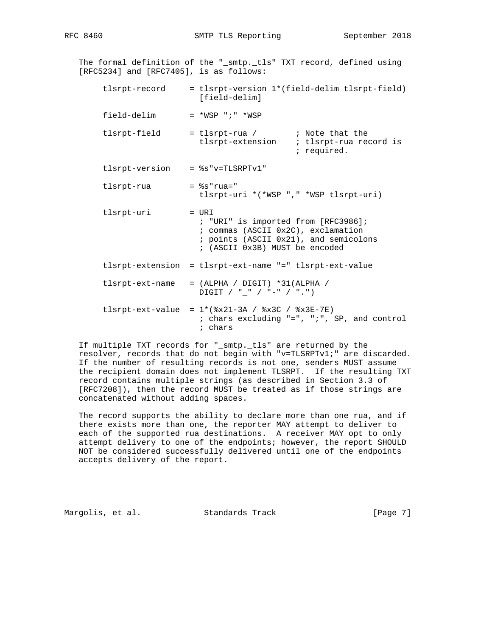RFC 8460 SMTP TLS Reporting September 2018

 The formal definition of the "\_smtp.\_tls" TXT record, defined using [RFC5234] and [RFC7405], is as follows: tlsrpt-record = tlsrpt-version 1\*(field-delim tlsrpt-field) [field-delim] field-delim = \*WSP ";" \*WSP tlsrpt-field = tlsrpt-rua / ; Note that the tlsrpt-extension ; tlsrpt-rua record is ; required. tlsrpt-version = %s"v=TLSRPTv1"  $tlsrpt-rua =  $s$ s"rua="$  tlsrpt-uri \*(\*WSP "," \*WSP tlsrpt-uri) tlsrpt-uri = URI ; "URI" is imported from [RFC3986]; ; commas (ASCII 0x2C), exclamation ; points (ASCII 0x21), and semicolons ; (ASCII 0x3B) MUST be encoded tlsrpt-extension = tlsrpt-ext-name "=" tlsrpt-ext-value tlsrpt-ext-name = (ALPHA / DIGIT) \*31(ALPHA /  $\text{Diff} \quad / \quad \text{``\_\text{''} \quad / \quad \text{``\_\text{''} \quad / \quad \text{``\_\text{''}}\}$ tlsrpt-ext-value =  $1*(8x21-3A / 8x3C / 8x3E-7E)$  ; chars excluding "=", ";", SP, and control ; chars

 If multiple TXT records for "\_smtp.\_tls" are returned by the resolver, records that do not begin with "v=TLSRPTv1;" are discarded. If the number of resulting records is not one, senders MUST assume the recipient domain does not implement TLSRPT. If the resulting TXT record contains multiple strings (as described in Section 3.3 of [RFC7208]), then the record MUST be treated as if those strings are concatenated without adding spaces.

 The record supports the ability to declare more than one rua, and if there exists more than one, the reporter MAY attempt to deliver to each of the supported rua destinations. A receiver MAY opt to only attempt delivery to one of the endpoints; however, the report SHOULD NOT be considered successfully delivered until one of the endpoints accepts delivery of the report.

Margolis, et al. Standards Track [Page 7]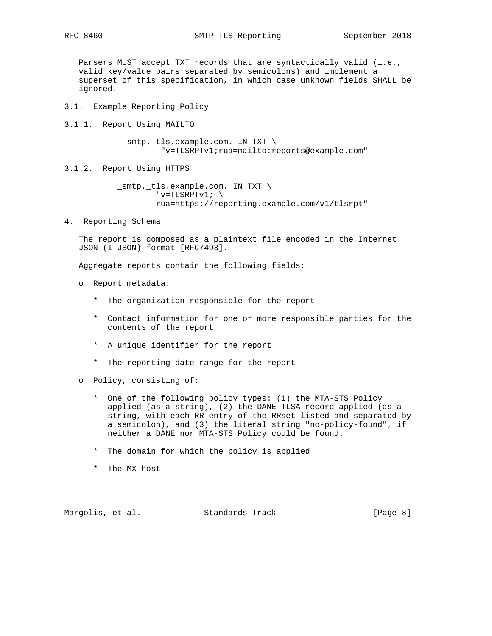Parsers MUST accept TXT records that are syntactically valid (i.e., valid key/value pairs separated by semicolons) and implement a superset of this specification, in which case unknown fields SHALL be ignored.

- 3.1. Example Reporting Policy
- 3.1.1. Report Using MAILTO

 \_smtp.\_tls.example.com. IN TXT \ "v=TLSRPTv1;rua=mailto:reports@example.com"

3.1.2. Report Using HTTPS

 \_smtp.\_tls.example.com. IN TXT \ "v=TLSRPTv1;  $\setminus$ rua=https://reporting.example.com/v1/tlsrpt"

4. Reporting Schema

 The report is composed as a plaintext file encoded in the Internet JSON (I-JSON) format [RFC7493].

Aggregate reports contain the following fields:

- o Report metadata:
	- \* The organization responsible for the report
	- \* Contact information for one or more responsible parties for the contents of the report
	- \* A unique identifier for the report
	- \* The reporting date range for the report
- o Policy, consisting of:
	- \* One of the following policy types: (1) the MTA-STS Policy applied (as a string), (2) the DANE TLSA record applied (as a string, with each RR entry of the RRset listed and separated by a semicolon), and (3) the literal string "no-policy-found", if neither a DANE nor MTA-STS Policy could be found.
	- \* The domain for which the policy is applied
	- \* The MX host

Margolis, et al. Standards Track [Page 8]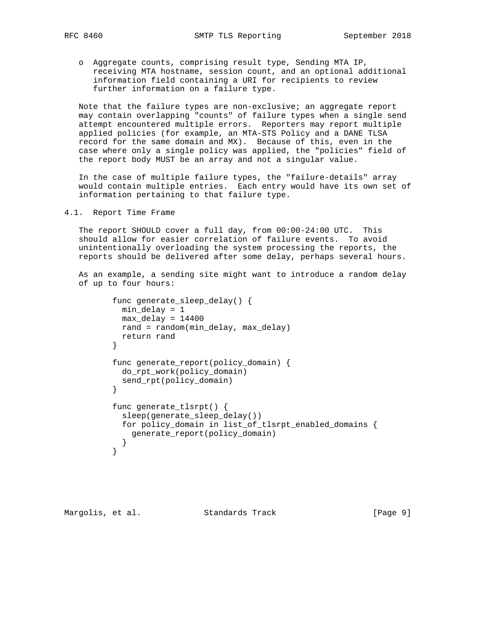o Aggregate counts, comprising result type, Sending MTA IP, receiving MTA hostname, session count, and an optional additional information field containing a URI for recipients to review further information on a failure type.

 Note that the failure types are non-exclusive; an aggregate report may contain overlapping "counts" of failure types when a single send attempt encountered multiple errors. Reporters may report multiple applied policies (for example, an MTA-STS Policy and a DANE TLSA record for the same domain and MX). Because of this, even in the case where only a single policy was applied, the "policies" field of the report body MUST be an array and not a singular value.

 In the case of multiple failure types, the "failure-details" array would contain multiple entries. Each entry would have its own set of information pertaining to that failure type.

4.1. Report Time Frame

 The report SHOULD cover a full day, from 00:00-24:00 UTC. This should allow for easier correlation of failure events. To avoid unintentionally overloading the system processing the reports, the reports should be delivered after some delay, perhaps several hours.

 As an example, a sending site might want to introduce a random delay of up to four hours:

```
 func generate_sleep_delay() {
           min_delay = 1
           max_delay = 14400
           rand = random(min_delay, max_delay)
           return rand
}
          func generate_report(policy_domain) {
           do_rpt_work(policy_domain)
         send_rpt(policy_domain)<br>}
}
         func generate tlsrpt() {
            sleep(generate_sleep_delay())
            for policy_domain in list_of_tlsrpt_enabled_domains {
              generate_report(policy_domain)
         \begin{matrix} \end{matrix} }
```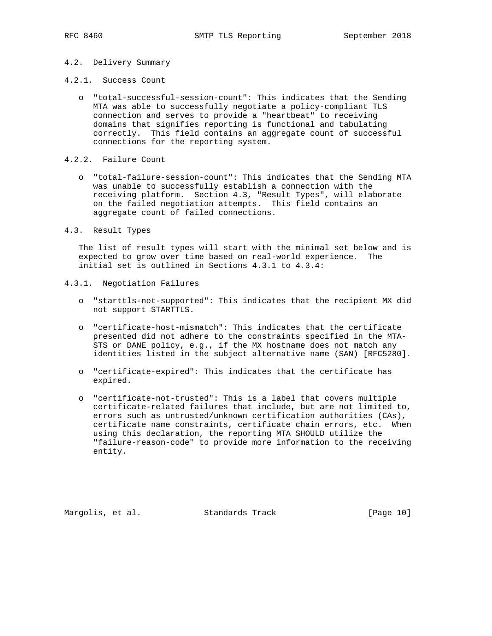## 4.2. Delivery Summary

- 4.2.1. Success Count
	- o "total-successful-session-count": This indicates that the Sending MTA was able to successfully negotiate a policy-compliant TLS connection and serves to provide a "heartbeat" to receiving domains that signifies reporting is functional and tabulating correctly. This field contains an aggregate count of successful connections for the reporting system.
- 4.2.2. Failure Count
	- o "total-failure-session-count": This indicates that the Sending MTA was unable to successfully establish a connection with the receiving platform. Section 4.3, "Result Types", will elaborate on the failed negotiation attempts. This field contains an aggregate count of failed connections.
- 4.3. Result Types

 The list of result types will start with the minimal set below and is expected to grow over time based on real-world experience. The initial set is outlined in Sections 4.3.1 to 4.3.4:

- 4.3.1. Negotiation Failures
	- o "starttls-not-supported": This indicates that the recipient MX did not support STARTTLS.
	- o "certificate-host-mismatch": This indicates that the certificate presented did not adhere to the constraints specified in the MTA- STS or DANE policy, e.g., if the MX hostname does not match any identities listed in the subject alternative name (SAN) [RFC5280].
	- o "certificate-expired": This indicates that the certificate has expired.
	- o "certificate-not-trusted": This is a label that covers multiple certificate-related failures that include, but are not limited to, errors such as untrusted/unknown certification authorities (CAs), certificate name constraints, certificate chain errors, etc. When using this declaration, the reporting MTA SHOULD utilize the "failure-reason-code" to provide more information to the receiving entity.

Margolis, et al. Standards Track [Page 10]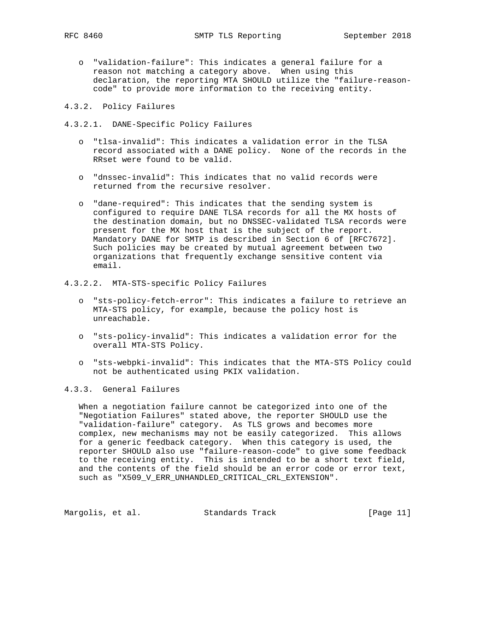o "validation-failure": This indicates a general failure for a reason not matching a category above. When using this declaration, the reporting MTA SHOULD utilize the "failure-reason code" to provide more information to the receiving entity.

4.3.2. Policy Failures

4.3.2.1. DANE-Specific Policy Failures

- o "tlsa-invalid": This indicates a validation error in the TLSA record associated with a DANE policy. None of the records in the RRset were found to be valid.
- o "dnssec-invalid": This indicates that no valid records were returned from the recursive resolver.
- o "dane-required": This indicates that the sending system is configured to require DANE TLSA records for all the MX hosts of the destination domain, but no DNSSEC-validated TLSA records were present for the MX host that is the subject of the report. Mandatory DANE for SMTP is described in Section 6 of [RFC7672]. Such policies may be created by mutual agreement between two organizations that frequently exchange sensitive content via email.
- 4.3.2.2. MTA-STS-specific Policy Failures
	- o "sts-policy-fetch-error": This indicates a failure to retrieve an MTA-STS policy, for example, because the policy host is unreachable.
	- o "sts-policy-invalid": This indicates a validation error for the overall MTA-STS Policy.
	- o "sts-webpki-invalid": This indicates that the MTA-STS Policy could not be authenticated using PKIX validation.

# 4.3.3. General Failures

 When a negotiation failure cannot be categorized into one of the "Negotiation Failures" stated above, the reporter SHOULD use the "validation-failure" category. As TLS grows and becomes more complex, new mechanisms may not be easily categorized. This allows for a generic feedback category. When this category is used, the reporter SHOULD also use "failure-reason-code" to give some feedback to the receiving entity. This is intended to be a short text field, and the contents of the field should be an error code or error text, such as "X509\_V\_ERR\_UNHANDLED\_CRITICAL\_CRL\_EXTENSION".

Margolis, et al. Standards Track [Page 11]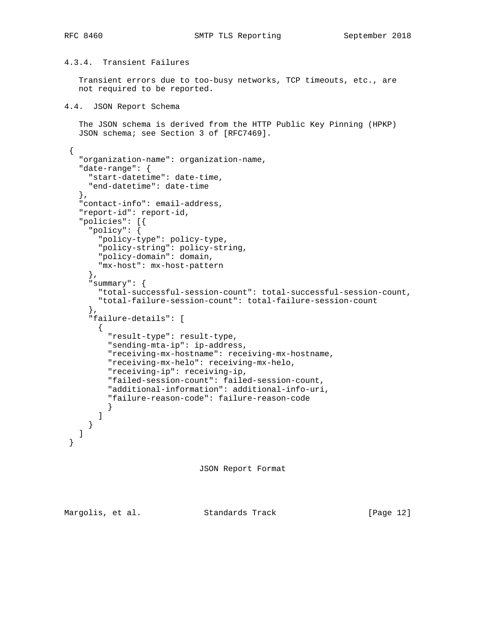# 4.3.4. Transient Failures

 Transient errors due to too-busy networks, TCP timeouts, etc., are not required to be reported.

```
4.4. JSON Report Schema
```
 The JSON schema is derived from the HTTP Public Key Pinning (HPKP) JSON schema; see Section 3 of [RFC7469].

```
 {
   "organization-name": organization-name,
  "date-range": {
    "start-datetime": date-time,
     "end-datetime": date-time
  },
   "contact-info": email-address,
   "report-id": report-id,
  "policies": [{
     "policy": {
       "policy-type": policy-type,
       "policy-string": policy-string,
       "policy-domain": domain,
       "mx-host": mx-host-pattern
     },
     "summary": {
       "total-successful-session-count": total-successful-session-count,
       "total-failure-session-count": total-failure-session-count
     },
     "failure-details": [
       {
         "result-type": result-type,
         "sending-mta-ip": ip-address,
         "receiving-mx-hostname": receiving-mx-hostname,
         "receiving-mx-helo": receiving-mx-helo,
         "receiving-ip": receiving-ip,
         "failed-session-count": failed-session-count,
         "additional-information": additional-info-uri,
         "failure-reason-code": failure-reason-code
}
      ]
    }
  ]
}
```
JSON Report Format

Margolis, et al. Standards Track [Page 12]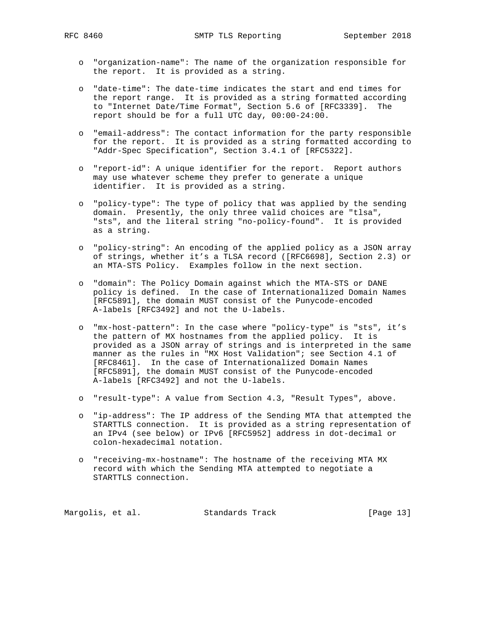- o "organization-name": The name of the organization responsible for the report. It is provided as a string.
- o "date-time": The date-time indicates the start and end times for the report range. It is provided as a string formatted according to "Internet Date/Time Format", Section 5.6 of [RFC3339]. The report should be for a full UTC day, 00:00-24:00.
- o "email-address": The contact information for the party responsible for the report. It is provided as a string formatted according to "Addr-Spec Specification", Section 3.4.1 of [RFC5322].
- o "report-id": A unique identifier for the report. Report authors may use whatever scheme they prefer to generate a unique identifier. It is provided as a string.
- o "policy-type": The type of policy that was applied by the sending domain. Presently, the only three valid choices are "tlsa", "sts", and the literal string "no-policy-found". It is provided as a string.
- o "policy-string": An encoding of the applied policy as a JSON array of strings, whether it's a TLSA record ([RFC6698], Section 2.3) or an MTA-STS Policy. Examples follow in the next section.
- o "domain": The Policy Domain against which the MTA-STS or DANE policy is defined. In the case of Internationalized Domain Names [RFC5891], the domain MUST consist of the Punycode-encoded A-labels [RFC3492] and not the U-labels.
- o "mx-host-pattern": In the case where "policy-type" is "sts", it's the pattern of MX hostnames from the applied policy. It is provided as a JSON array of strings and is interpreted in the same manner as the rules in "MX Host Validation"; see Section 4.1 of [RFC8461]. In the case of Internationalized Domain Names [RFC5891], the domain MUST consist of the Punycode-encoded A-labels [RFC3492] and not the U-labels.
- o "result-type": A value from Section 4.3, "Result Types", above.
- o "ip-address": The IP address of the Sending MTA that attempted the STARTTLS connection. It is provided as a string representation of an IPv4 (see below) or IPv6 [RFC5952] address in dot-decimal or colon-hexadecimal notation.
- o "receiving-mx-hostname": The hostname of the receiving MTA MX record with which the Sending MTA attempted to negotiate a STARTTLS connection.

Margolis, et al. Standards Track [Page 13]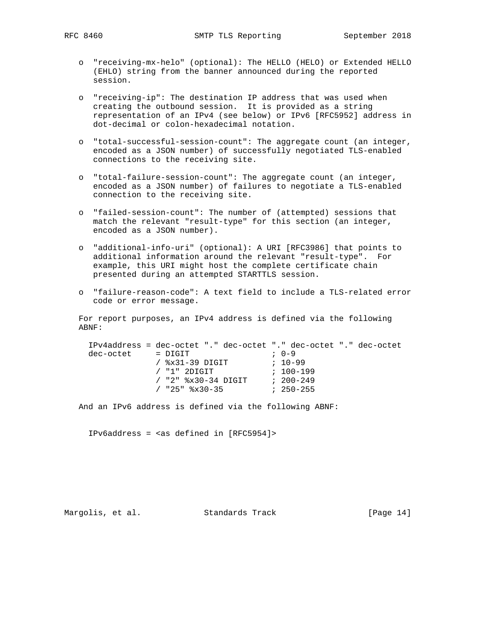- o "receiving-mx-helo" (optional): The HELLO (HELO) or Extended HELLO (EHLO) string from the banner announced during the reported session.
- o "receiving-ip": The destination IP address that was used when creating the outbound session. It is provided as a string representation of an IPv4 (see below) or IPv6 [RFC5952] address in dot-decimal or colon-hexadecimal notation.
- o "total-successful-session-count": The aggregate count (an integer, encoded as a JSON number) of successfully negotiated TLS-enabled connections to the receiving site.
- o "total-failure-session-count": The aggregate count (an integer, encoded as a JSON number) of failures to negotiate a TLS-enabled connection to the receiving site.
- o "failed-session-count": The number of (attempted) sessions that match the relevant "result-type" for this section (an integer, encoded as a JSON number).
- o "additional-info-uri" (optional): A URI [RFC3986] that points to additional information around the relevant "result-type". For example, this URI might host the complete certificate chain presented during an attempted STARTTLS session.
- o "failure-reason-code": A text field to include a TLS-related error code or error message.

 For report purposes, an IPv4 address is defined via the following ABNF:

 IPv4address = dec-octet "." dec-octet "." dec-octet "." dec-octet dec-octet = DIGIT  $(3 \times 31 - 39)$  DIGIT  $(10-99)$  / %x31-39 DIGIT ; 10-99 / "1" 2DIGIT ; 100-199 / "2" %x30-34 DIGIT ; 200-249 / "25" %x30-35 ; 250-255

And an IPv6 address is defined via the following ABNF:

IPv6address = <as defined in [RFC5954]>

Margolis, et al. Standards Track [Page 14]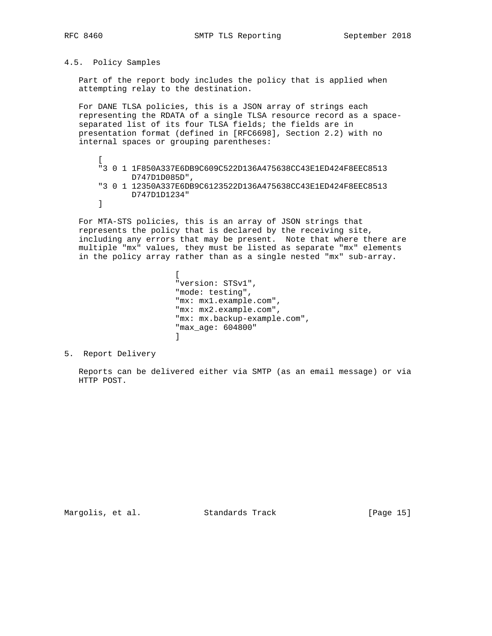## 4.5. Policy Samples

 Part of the report body includes the policy that is applied when attempting relay to the destination.

 For DANE TLSA policies, this is a JSON array of strings each representing the RDATA of a single TLSA resource record as a space separated list of its four TLSA fields; the fields are in presentation format (defined in [RFC6698], Section 2.2) with no internal spaces or grouping parentheses:

 $\Gamma$  "3 0 1 1F850A337E6DB9C609C522D136A475638CC43E1ED424F8EEC8513 D747D1D085D", "3 0 1 12350A337E6DB9C6123522D136A475638CC43E1ED424F8EEC8513 D747D1D1234" ]

 For MTA-STS policies, this is an array of JSON strings that represents the policy that is declared by the receiving site, including any errors that may be present. Note that where there are multiple "mx" values, they must be listed as separate "mx" elements in the policy array rather than as a single nested "mx" sub-array.

**In the contract of the contract of the contract of the contract of the contract of the contract of the contract of the contract of the contract of the contract of the contract of the contract of the contract of the contra**  "version: STSv1", "mode: testing", "mx: mx1.example.com", "mx: mx2.example.com", "mx: mx.backup-example.com", "max\_age: 604800"  $\sim$  100  $\sim$  100  $\sim$  100  $\sim$  100  $\sim$  100  $\sim$  100  $\sim$  100  $\sim$  100  $\sim$  100  $\sim$  100  $\sim$  100  $\sim$  100  $\sim$  100  $\sim$  100  $\sim$  100  $\sim$  100  $\sim$  100  $\sim$  100  $\sim$  100  $\sim$  100  $\sim$  100  $\sim$  100  $\sim$  100  $\sim$  100  $\sim$ 

5. Report Delivery

 Reports can be delivered either via SMTP (as an email message) or via HTTP POST.

Margolis, et al. Standards Track [Page 15]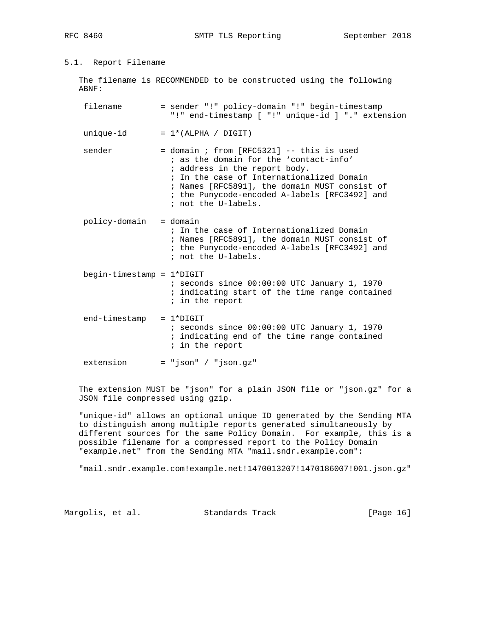# 5.1. Report Filename

 The filename is RECOMMENDED to be constructed using the following ABNF:

| filename                        | = sender "!" policy-domain "!" begin-timestamp<br>"!" end-timestamp [ "!" unique-id ] "." extension                                                                                                                                                                                             |
|---------------------------------|-------------------------------------------------------------------------------------------------------------------------------------------------------------------------------------------------------------------------------------------------------------------------------------------------|
| unique-id                       | $= 1*(ALPHA / DIGIT)$                                                                                                                                                                                                                                                                           |
| sender                          | $=$ domain ; from [RFC5321] $-$ - this is used<br>; as the domain for the 'contact-info'<br>; address in the report body.<br>; In the case of Internationalized Domain<br>; Names [RFC5891], the domain MUST consist of<br>; the Punycode-encoded A-labels [RFC3492] and<br>; not the U-labels. |
| policy-domain = domain          | ; In the case of Internationalized Domain<br>; Names [RFC5891], the domain MUST consist of<br>; the Punycode-encoded A-labels [RFC3492] and<br>; not the U-labels.                                                                                                                              |
| $begin$ -timestamp = $1*$ DIGIT | $:$ seconds since $00:00:00$ UTC January 1, 1970<br>; indicating start of the time range contained<br>; in the report                                                                                                                                                                           |
| end-timestamp                   | $= 1*DiffIT$<br>$:$ seconds since $00:00:00$ UTC January 1, 1970<br>; indicating end of the time range contained<br>; in the report                                                                                                                                                             |
| extension                       | $= "json" / "json.gz"$                                                                                                                                                                                                                                                                          |

 The extension MUST be "json" for a plain JSON file or "json.gz" for a JSON file compressed using gzip.

 "unique-id" allows an optional unique ID generated by the Sending MTA to distinguish among multiple reports generated simultaneously by different sources for the same Policy Domain. For example, this is a possible filename for a compressed report to the Policy Domain "example.net" from the Sending MTA "mail.sndr.example.com":

"mail.sndr.example.com!example.net!1470013207!1470186007!001.json.gz"

Margolis, et al. Standards Track [Page 16]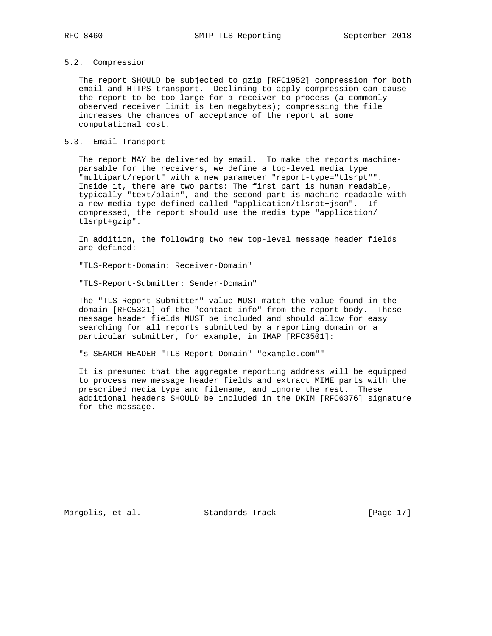# 5.2. Compression

 The report SHOULD be subjected to gzip [RFC1952] compression for both email and HTTPS transport. Declining to apply compression can cause the report to be too large for a receiver to process (a commonly observed receiver limit is ten megabytes); compressing the file increases the chances of acceptance of the report at some computational cost.

## 5.3. Email Transport

 The report MAY be delivered by email. To make the reports machine parsable for the receivers, we define a top-level media type "multipart/report" with a new parameter "report-type="tlsrpt"". Inside it, there are two parts: The first part is human readable, typically "text/plain", and the second part is machine readable with a new media type defined called "application/tlsrpt+json". If compressed, the report should use the media type "application/ tlsrpt+gzip".

 In addition, the following two new top-level message header fields are defined:

"TLS-Report-Domain: Receiver-Domain"

"TLS-Report-Submitter: Sender-Domain"

 The "TLS-Report-Submitter" value MUST match the value found in the domain [RFC5321] of the "contact-info" from the report body. These message header fields MUST be included and should allow for easy searching for all reports submitted by a reporting domain or a particular submitter, for example, in IMAP [RFC3501]:

"s SEARCH HEADER "TLS-Report-Domain" "example.com""

 It is presumed that the aggregate reporting address will be equipped to process new message header fields and extract MIME parts with the prescribed media type and filename, and ignore the rest. These additional headers SHOULD be included in the DKIM [RFC6376] signature for the message.

Margolis, et al. Standards Track [Page 17]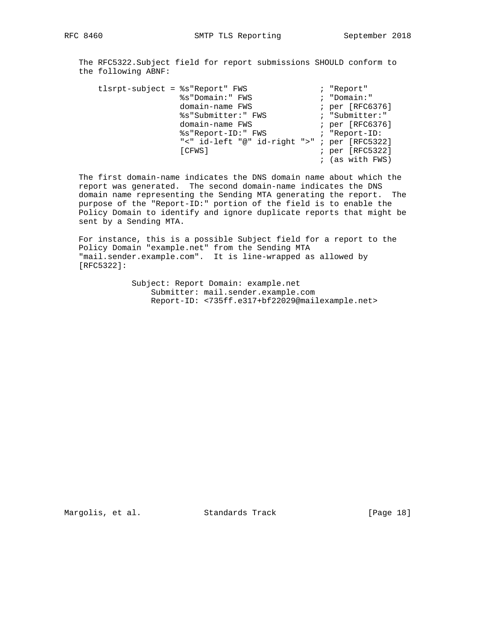The RFC5322.Subject field for report submissions SHOULD conform to the following ABNF:

| tlsrpt-subject = %s"Report" FWS |                                              | ; "Report"        |
|---------------------------------|----------------------------------------------|-------------------|
|                                 | %s"Domain:" FWS                              | ; "Domain:"       |
|                                 | domain-name FWS                              | ; per [RFC6376]   |
|                                 | %s"Submitter:" FWS                           | ; "Submitter:"    |
|                                 | domain-name FWS                              | ; per [RFC6376]   |
|                                 | %s"Report-ID:" FWS                           | ; "Report-ID:     |
|                                 | "<" id-left "@" id-right ">" ; per [RFC5322] |                   |
|                                 | [CFWS]                                       | ; per [RFC5322]   |
|                                 |                                              | $;$ (as with FWS) |

 The first domain-name indicates the DNS domain name about which the report was generated. The second domain-name indicates the DNS domain name representing the Sending MTA generating the report. The purpose of the "Report-ID:" portion of the field is to enable the Policy Domain to identify and ignore duplicate reports that might be sent by a Sending MTA.

 For instance, this is a possible Subject field for a report to the Policy Domain "example.net" from the Sending MTA "mail.sender.example.com". It is line-wrapped as allowed by [RFC5322]:

> Subject: Report Domain: example.net Submitter: mail.sender.example.com Report-ID: <735ff.e317+bf22029@mailexample.net>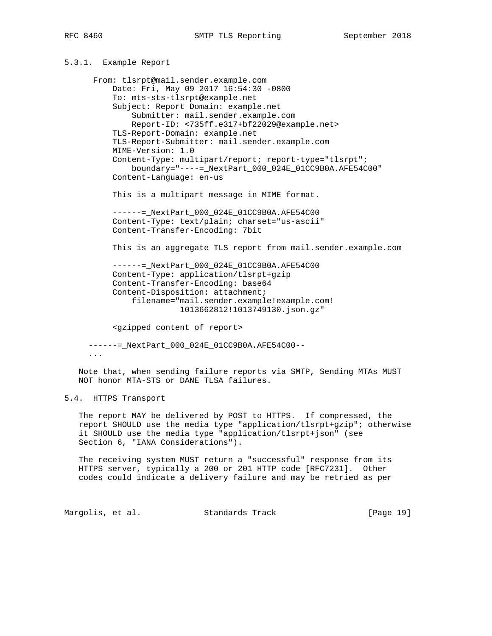# 5.3.1. Example Report

 From: tlsrpt@mail.sender.example.com Date: Fri, May 09 2017 16:54:30 -0800 To: mts-sts-tlsrpt@example.net Subject: Report Domain: example.net Submitter: mail.sender.example.com Report-ID: <735ff.e317+bf22029@example.net> TLS-Report-Domain: example.net TLS-Report-Submitter: mail.sender.example.com MIME-Version: 1.0 Content-Type: multipart/report; report-type="tlsrpt"; boundary="----=\_NextPart\_000\_024E\_01CC9B0A.AFE54C00" Content-Language: en-us This is a multipart message in MIME format. ------=\_NextPart\_000\_024E\_01CC9B0A.AFE54C00 Content-Type: text/plain; charset="us-ascii" Content-Transfer-Encoding: 7bit This is an aggregate TLS report from mail.sender.example.com ------=\_NextPart\_000\_024E\_01CC9B0A.AFE54C00 Content-Type: application/tlsrpt+gzip Content-Transfer-Encoding: base64 Content-Disposition: attachment; filename="mail.sender.example!example.com! 1013662812!1013749130.json.gz" <gzipped content of report>

 ------=\_NextPart\_000\_024E\_01CC9B0A.AFE54C00-- ...

 Note that, when sending failure reports via SMTP, Sending MTAs MUST NOT honor MTA-STS or DANE TLSA failures.

# 5.4. HTTPS Transport

 The report MAY be delivered by POST to HTTPS. If compressed, the report SHOULD use the media type "application/tlsrpt+gzip"; otherwise it SHOULD use the media type "application/tlsrpt+json" (see Section 6, "IANA Considerations").

 The receiving system MUST return a "successful" response from its HTTPS server, typically a 200 or 201 HTTP code [RFC7231]. Other codes could indicate a delivery failure and may be retried as per

Margolis, et al. Standards Track [Page 19]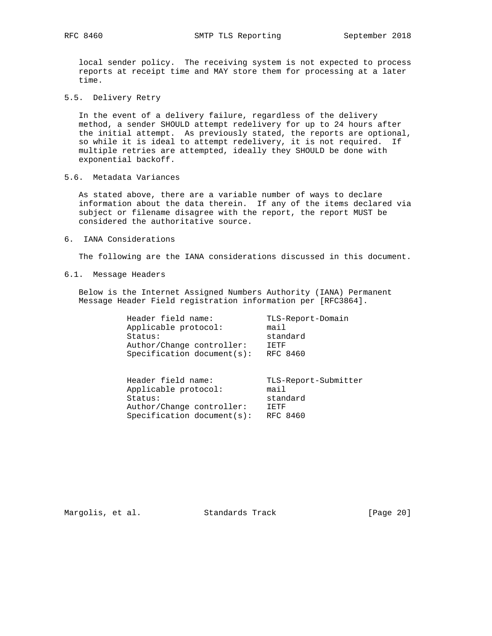local sender policy. The receiving system is not expected to process reports at receipt time and MAY store them for processing at a later time.

5.5. Delivery Retry

 In the event of a delivery failure, regardless of the delivery method, a sender SHOULD attempt redelivery for up to 24 hours after the initial attempt. As previously stated, the reports are optional, so while it is ideal to attempt redelivery, it is not required. If multiple retries are attempted, ideally they SHOULD be done with exponential backoff.

5.6. Metadata Variances

 As stated above, there are a variable number of ways to declare information about the data therein. If any of the items declared via subject or filename disagree with the report, the report MUST be considered the authoritative source.

6. IANA Considerations

The following are the IANA considerations discussed in this document.

6.1. Message Headers

 Below is the Internet Assigned Numbers Authority (IANA) Permanent Message Header Field registration information per [RFC3864].

| Header field name:         | TLS-Report-Domain |
|----------------------------|-------------------|
| Applicable protocol:       | mail              |
| Status:                    | standard          |
| Author/Change controller:  | TETF              |
| Specification document(s): | RFC 8460          |
|                            |                   |
|                            |                   |

| Header field name:         | TLS-Report-Submitter |
|----------------------------|----------------------|
| Applicable protocol:       | main1                |
| Status:                    | standard             |
| Author/Change controller:  | T ETF                |
| Specification document(s): | RFC 8460             |

Margolis, et al. Standards Track [Page 20]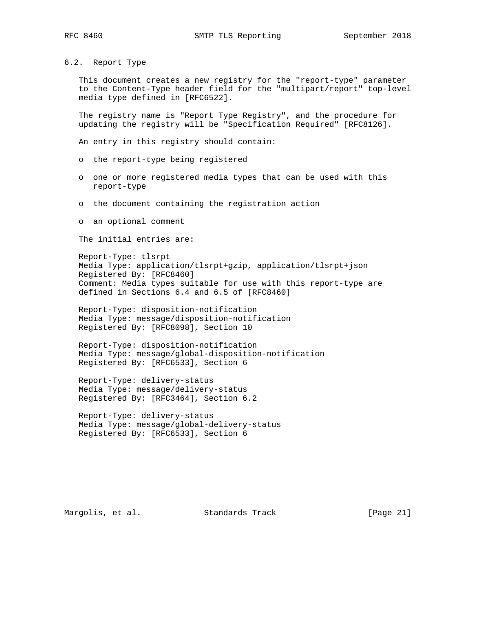## 6.2. Report Type

 This document creates a new registry for the "report-type" parameter to the Content-Type header field for the "multipart/report" top-level media type defined in [RFC6522].

 The registry name is "Report Type Registry", and the procedure for updating the registry will be "Specification Required" [RFC8126].

An entry in this registry should contain:

- o the report-type being registered
- o one or more registered media types that can be used with this report-type
- o the document containing the registration action
- o an optional comment

The initial entries are:

 Report-Type: tlsrpt Media Type: application/tlsrpt+gzip, application/tlsrpt+json Registered By: [RFC8460] Comment: Media types suitable for use with this report-type are defined in Sections 6.4 and 6.5 of [RFC8460]

 Report-Type: disposition-notification Media Type: message/disposition-notification Registered By: [RFC8098], Section 10

 Report-Type: disposition-notification Media Type: message/global-disposition-notification Registered By: [RFC6533], Section 6

 Report-Type: delivery-status Media Type: message/delivery-status Registered By: [RFC3464], Section 6.2

 Report-Type: delivery-status Media Type: message/global-delivery-status Registered By: [RFC6533], Section 6

Margolis, et al. Standards Track [Page 21]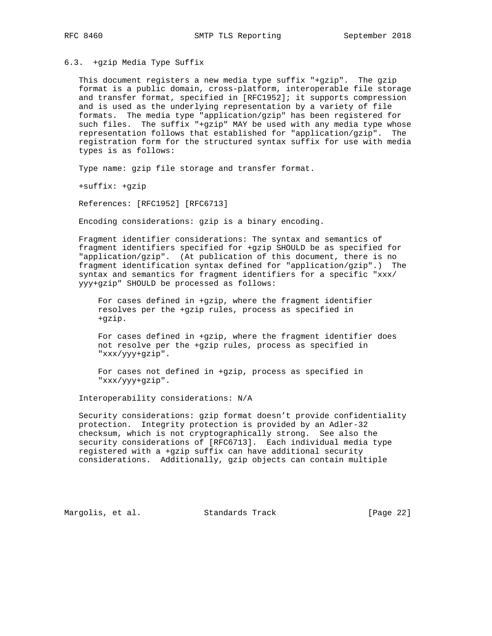## 6.3. +gzip Media Type Suffix

 This document registers a new media type suffix "+gzip". The gzip format is a public domain, cross-platform, interoperable file storage and transfer format, specified in [RFC1952]; it supports compression and is used as the underlying representation by a variety of file formats. The media type "application/gzip" has been registered for such files. The suffix "+gzip" MAY be used with any media type whose representation follows that established for "application/gzip". The registration form for the structured syntax suffix for use with media types is as follows:

Type name: gzip file storage and transfer format.

+suffix: +gzip

References: [RFC1952] [RFC6713]

Encoding considerations: gzip is a binary encoding.

 Fragment identifier considerations: The syntax and semantics of fragment identifiers specified for +gzip SHOULD be as specified for "application/gzip". (At publication of this document, there is no fragment identification syntax defined for "application/gzip".) The syntax and semantics for fragment identifiers for a specific "xxx/ yyy+gzip" SHOULD be processed as follows:

 For cases defined in +gzip, where the fragment identifier resolves per the +gzip rules, process as specified in +gzip.

 For cases defined in +gzip, where the fragment identifier does not resolve per the +gzip rules, process as specified in "xxx/yyy+gzip".

 For cases not defined in +gzip, process as specified in "xxx/yyy+gzip".

Interoperability considerations: N/A

 Security considerations: gzip format doesn't provide confidentiality protection. Integrity protection is provided by an Adler-32 checksum, which is not cryptographically strong. See also the security considerations of [RFC6713]. Each individual media type registered with a +gzip suffix can have additional security considerations. Additionally, gzip objects can contain multiple

Margolis, et al. Standards Track [Page 22]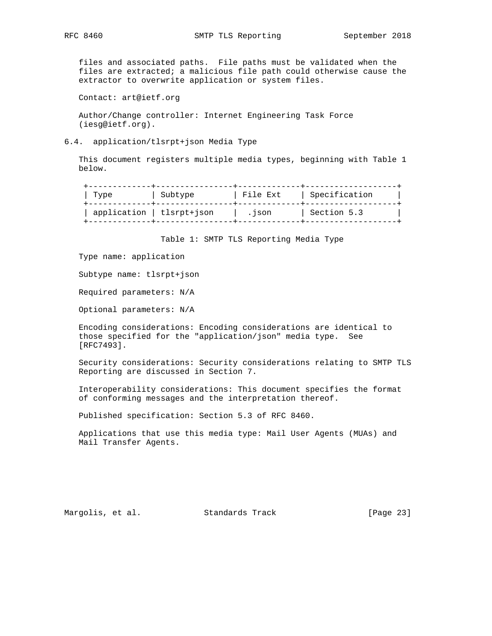files and associated paths. File paths must be validated when the files are extracted; a malicious file path could otherwise cause the extractor to overwrite application or system files.

Contact: art@ietf.org

 Author/Change controller: Internet Engineering Task Force (iesg@ietf.org).

6.4. application/tlsrpt+json Media Type

 This document registers multiple media types, beginning with Table 1 below.

| Type                      | Subtype | File Ext | Specification |
|---------------------------|---------|----------|---------------|
| application   tlsrpt+json |         | . ISON   | Section 5.3   |

Table 1: SMTP TLS Reporting Media Type

Type name: application

Subtype name: tlsrpt+json

Required parameters: N/A

Optional parameters: N/A

 Encoding considerations: Encoding considerations are identical to those specified for the "application/json" media type. See [RFC7493].

 Security considerations: Security considerations relating to SMTP TLS Reporting are discussed in Section 7.

 Interoperability considerations: This document specifies the format of conforming messages and the interpretation thereof.

Published specification: Section 5.3 of RFC 8460.

 Applications that use this media type: Mail User Agents (MUAs) and Mail Transfer Agents.

Margolis, et al. Standards Track [Page 23]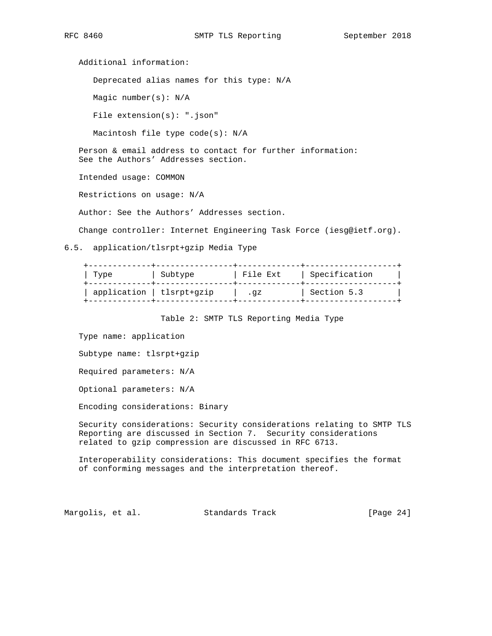Additional information: Deprecated alias names for this type: N/A Magic number(s): N/A File extension(s): ".json" Macintosh file type code(s): N/A Person & email address to contact for further information: See the Authors' Addresses section. Intended usage: COMMON Restrictions on usage: N/A Author: See the Authors' Addresses section.

Change controller: Internet Engineering Task Force (iesg@ietf.org).

6.5. application/tlsrpt+gzip Media Type

| Type                      | Subtype | File Ext | Specification |
|---------------------------|---------|----------|---------------|
| application   tlsrpt+gzip |         | .qz      | Section 5.3   |

Table 2: SMTP TLS Reporting Media Type

Type name: application

Subtype name: tlsrpt+gzip

Required parameters: N/A

Optional parameters: N/A

Encoding considerations: Binary

 Security considerations: Security considerations relating to SMTP TLS Reporting are discussed in Section 7. Security considerations related to gzip compression are discussed in RFC 6713.

 Interoperability considerations: This document specifies the format of conforming messages and the interpretation thereof.

Margolis, et al. Standards Track [Page 24]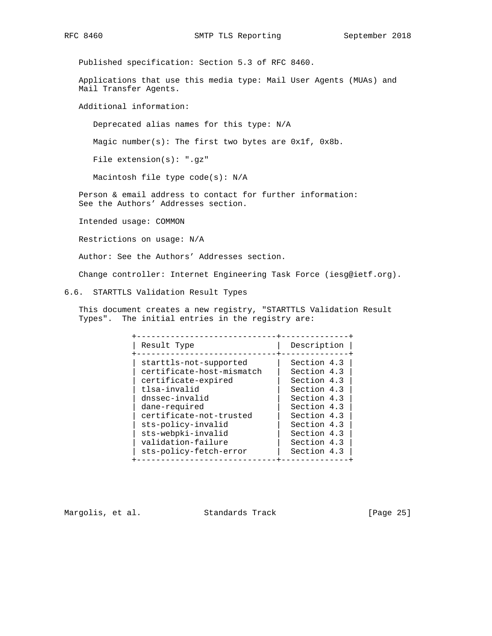Published specification: Section 5.3 of RFC 8460.

 Applications that use this media type: Mail User Agents (MUAs) and Mail Transfer Agents.

Additional information:

Deprecated alias names for this type: N/A

Magic number(s): The first two bytes are 0x1f, 0x8b.

File extension(s): ".gz"

Macintosh file type code(s): N/A

 Person & email address to contact for further information: See the Authors' Addresses section.

Intended usage: COMMON

Restrictions on usage: N/A

Author: See the Authors' Addresses section.

Change controller: Internet Engineering Task Force (iesg@ietf.org).

6.6. STARTTLS Validation Result Types

 This document creates a new registry, "STARTTLS Validation Result Types". The initial entries in the registry are:

| Result Type               | Description |
|---------------------------|-------------|
| starttls-not-supported    | Section 4.3 |
| certificate-host-mismatch | Section 4.3 |
| certificate-expired       | Section 4.3 |
| tlsa-invalid              | Section 4.3 |
| dnssec-invalid            | Section 4.3 |
| dane-required             | Section 4.3 |
| certificate-not-trusted   | Section 4.3 |
| sts-policy-invalid        | Section 4.3 |
| sts-webpki-invalid        | Section 4.3 |
| validation-failure        | Section 4.3 |
| sts-policy-fetch-error    | Section 4.3 |

Margolis, et al. Standards Track [Page 25]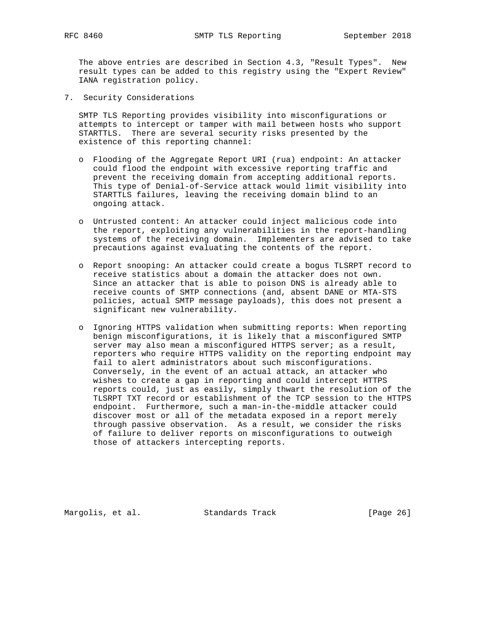The above entries are described in Section 4.3, "Result Types". New result types can be added to this registry using the "Expert Review" IANA registration policy.

7. Security Considerations

 SMTP TLS Reporting provides visibility into misconfigurations or attempts to intercept or tamper with mail between hosts who support STARTTLS. There are several security risks presented by the existence of this reporting channel:

- o Flooding of the Aggregate Report URI (rua) endpoint: An attacker could flood the endpoint with excessive reporting traffic and prevent the receiving domain from accepting additional reports. This type of Denial-of-Service attack would limit visibility into STARTTLS failures, leaving the receiving domain blind to an ongoing attack.
- o Untrusted content: An attacker could inject malicious code into the report, exploiting any vulnerabilities in the report-handling systems of the receiving domain. Implementers are advised to take precautions against evaluating the contents of the report.
- o Report snooping: An attacker could create a bogus TLSRPT record to receive statistics about a domain the attacker does not own. Since an attacker that is able to poison DNS is already able to receive counts of SMTP connections (and, absent DANE or MTA-STS policies, actual SMTP message payloads), this does not present a significant new vulnerability.
- o Ignoring HTTPS validation when submitting reports: When reporting benign misconfigurations, it is likely that a misconfigured SMTP server may also mean a misconfigured HTTPS server; as a result, reporters who require HTTPS validity on the reporting endpoint may fail to alert administrators about such misconfigurations. Conversely, in the event of an actual attack, an attacker who wishes to create a gap in reporting and could intercept HTTPS reports could, just as easily, simply thwart the resolution of the TLSRPT TXT record or establishment of the TCP session to the HTTPS endpoint. Furthermore, such a man-in-the-middle attacker could discover most or all of the metadata exposed in a report merely through passive observation. As a result, we consider the risks of failure to deliver reports on misconfigurations to outweigh those of attackers intercepting reports.

Margolis, et al. Standards Track [Page 26]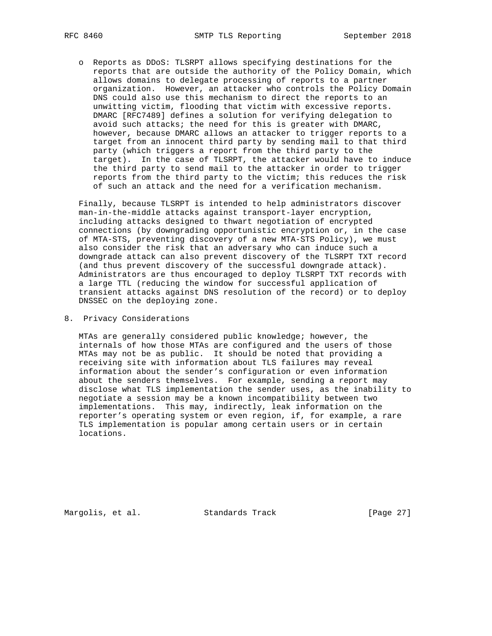o Reports as DDoS: TLSRPT allows specifying destinations for the reports that are outside the authority of the Policy Domain, which allows domains to delegate processing of reports to a partner organization. However, an attacker who controls the Policy Domain DNS could also use this mechanism to direct the reports to an unwitting victim, flooding that victim with excessive reports. DMARC [RFC7489] defines a solution for verifying delegation to avoid such attacks; the need for this is greater with DMARC, however, because DMARC allows an attacker to trigger reports to a target from an innocent third party by sending mail to that third party (which triggers a report from the third party to the target). In the case of TLSRPT, the attacker would have to induce the third party to send mail to the attacker in order to trigger reports from the third party to the victim; this reduces the risk of such an attack and the need for a verification mechanism.

 Finally, because TLSRPT is intended to help administrators discover man-in-the-middle attacks against transport-layer encryption, including attacks designed to thwart negotiation of encrypted connections (by downgrading opportunistic encryption or, in the case of MTA-STS, preventing discovery of a new MTA-STS Policy), we must also consider the risk that an adversary who can induce such a downgrade attack can also prevent discovery of the TLSRPT TXT record (and thus prevent discovery of the successful downgrade attack). Administrators are thus encouraged to deploy TLSRPT TXT records with a large TTL (reducing the window for successful application of transient attacks against DNS resolution of the record) or to deploy DNSSEC on the deploying zone.

8. Privacy Considerations

 MTAs are generally considered public knowledge; however, the internals of how those MTAs are configured and the users of those MTAs may not be as public. It should be noted that providing a receiving site with information about TLS failures may reveal information about the sender's configuration or even information about the senders themselves. For example, sending a report may disclose what TLS implementation the sender uses, as the inability to negotiate a session may be a known incompatibility between two implementations. This may, indirectly, leak information on the reporter's operating system or even region, if, for example, a rare TLS implementation is popular among certain users or in certain locations.

Margolis, et al. Standards Track [Page 27]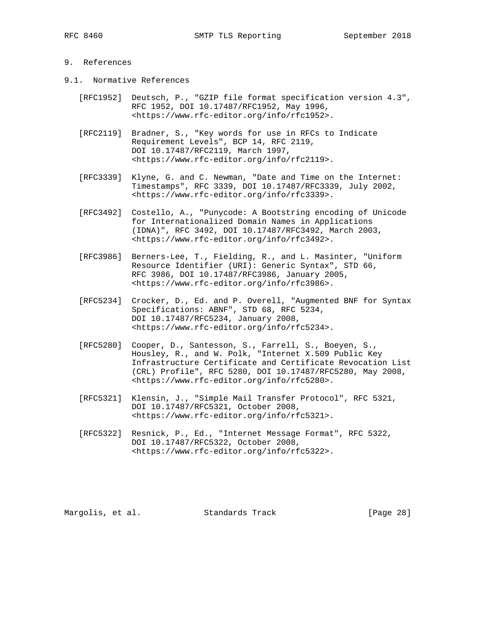## 9. References

- 9.1. Normative References
	- [RFC1952] Deutsch, P., "GZIP file format specification version 4.3", RFC 1952, DOI 10.17487/RFC1952, May 1996, <https://www.rfc-editor.org/info/rfc1952>.
	- [RFC2119] Bradner, S., "Key words for use in RFCs to Indicate Requirement Levels", BCP 14, RFC 2119, DOI 10.17487/RFC2119, March 1997, <https://www.rfc-editor.org/info/rfc2119>.
	- [RFC3339] Klyne, G. and C. Newman, "Date and Time on the Internet: Timestamps", RFC 3339, DOI 10.17487/RFC3339, July 2002, <https://www.rfc-editor.org/info/rfc3339>.
	- [RFC3492] Costello, A., "Punycode: A Bootstring encoding of Unicode for Internationalized Domain Names in Applications (IDNA)", RFC 3492, DOI 10.17487/RFC3492, March 2003, <https://www.rfc-editor.org/info/rfc3492>.
	- [RFC3986] Berners-Lee, T., Fielding, R., and L. Masinter, "Uniform Resource Identifier (URI): Generic Syntax", STD 66, RFC 3986, DOI 10.17487/RFC3986, January 2005, <https://www.rfc-editor.org/info/rfc3986>.
- [RFC5234] Crocker, D., Ed. and P. Overell, "Augmented BNF for Syntax Specifications: ABNF", STD 68, RFC 5234, DOI 10.17487/RFC5234, January 2008, <https://www.rfc-editor.org/info/rfc5234>.
	- [RFC5280] Cooper, D., Santesson, S., Farrell, S., Boeyen, S., Housley, R., and W. Polk, "Internet X.509 Public Key Infrastructure Certificate and Certificate Revocation List (CRL) Profile", RFC 5280, DOI 10.17487/RFC5280, May 2008, <https://www.rfc-editor.org/info/rfc5280>.
	- [RFC5321] Klensin, J., "Simple Mail Transfer Protocol", RFC 5321, DOI 10.17487/RFC5321, October 2008, <https://www.rfc-editor.org/info/rfc5321>.
	- [RFC5322] Resnick, P., Ed., "Internet Message Format", RFC 5322, DOI 10.17487/RFC5322, October 2008, <https://www.rfc-editor.org/info/rfc5322>.

Margolis, et al. Standards Track [Page 28]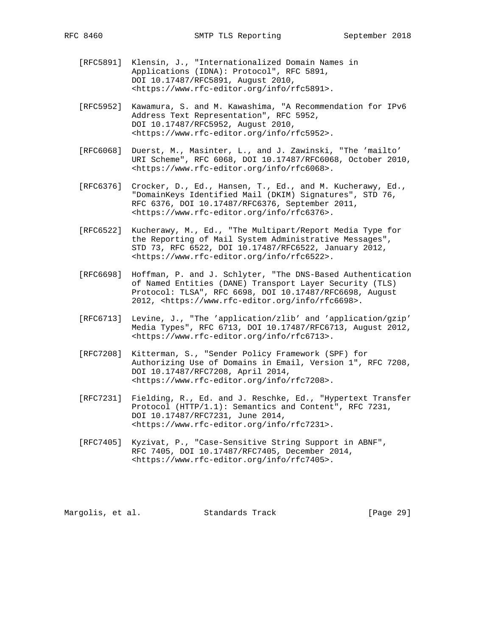- [RFC5891] Klensin, J., "Internationalized Domain Names in Applications (IDNA): Protocol", RFC 5891, DOI 10.17487/RFC5891, August 2010, <https://www.rfc-editor.org/info/rfc5891>.
- [RFC5952] Kawamura, S. and M. Kawashima, "A Recommendation for IPv6 Address Text Representation", RFC 5952, DOI 10.17487/RFC5952, August 2010, <https://www.rfc-editor.org/info/rfc5952>.
- [RFC6068] Duerst, M., Masinter, L., and J. Zawinski, "The 'mailto' URI Scheme", RFC 6068, DOI 10.17487/RFC6068, October 2010, <https://www.rfc-editor.org/info/rfc6068>.
- [RFC6376] Crocker, D., Ed., Hansen, T., Ed., and M. Kucherawy, Ed., "DomainKeys Identified Mail (DKIM) Signatures", STD 76, RFC 6376, DOI 10.17487/RFC6376, September 2011, <https://www.rfc-editor.org/info/rfc6376>.
- [RFC6522] Kucherawy, M., Ed., "The Multipart/Report Media Type for the Reporting of Mail System Administrative Messages", STD 73, RFC 6522, DOI 10.17487/RFC6522, January 2012, <https://www.rfc-editor.org/info/rfc6522>.
- [RFC6698] Hoffman, P. and J. Schlyter, "The DNS-Based Authentication of Named Entities (DANE) Transport Layer Security (TLS) Protocol: TLSA", RFC 6698, DOI 10.17487/RFC6698, August 2012, <https://www.rfc-editor.org/info/rfc6698>.
- [RFC6713] Levine, J., "The 'application/zlib' and 'application/gzip' Media Types", RFC 6713, DOI 10.17487/RFC6713, August 2012, <https://www.rfc-editor.org/info/rfc6713>.
- [RFC7208] Kitterman, S., "Sender Policy Framework (SPF) for Authorizing Use of Domains in Email, Version 1", RFC 7208, DOI 10.17487/RFC7208, April 2014, <https://www.rfc-editor.org/info/rfc7208>.
- [RFC7231] Fielding, R., Ed. and J. Reschke, Ed., "Hypertext Transfer Protocol (HTTP/1.1): Semantics and Content", RFC 7231, DOI 10.17487/RFC7231, June 2014, <https://www.rfc-editor.org/info/rfc7231>.
- [RFC7405] Kyzivat, P., "Case-Sensitive String Support in ABNF", RFC 7405, DOI 10.17487/RFC7405, December 2014, <https://www.rfc-editor.org/info/rfc7405>.

Margolis, et al. Standards Track [Page 29]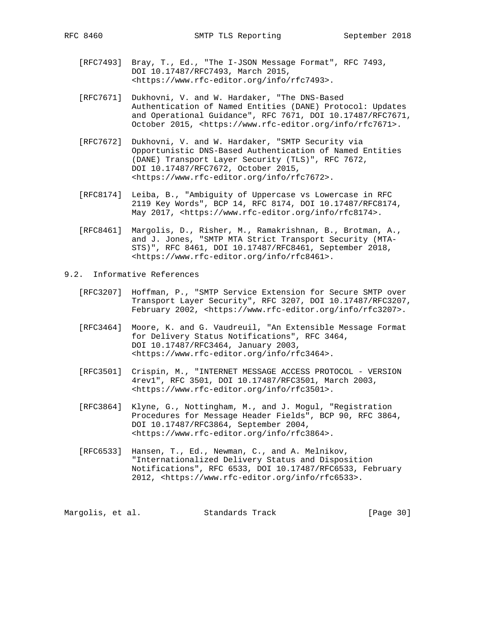- [RFC7493] Bray, T., Ed., "The I-JSON Message Format", RFC 7493, DOI 10.17487/RFC7493, March 2015, <https://www.rfc-editor.org/info/rfc7493>.
- [RFC7671] Dukhovni, V. and W. Hardaker, "The DNS-Based Authentication of Named Entities (DANE) Protocol: Updates and Operational Guidance", RFC 7671, DOI 10.17487/RFC7671, October 2015, <https://www.rfc-editor.org/info/rfc7671>.
- [RFC7672] Dukhovni, V. and W. Hardaker, "SMTP Security via Opportunistic DNS-Based Authentication of Named Entities (DANE) Transport Layer Security (TLS)", RFC 7672, DOI 10.17487/RFC7672, October 2015, <https://www.rfc-editor.org/info/rfc7672>.
- [RFC8174] Leiba, B., "Ambiguity of Uppercase vs Lowercase in RFC 2119 Key Words", BCP 14, RFC 8174, DOI 10.17487/RFC8174, May 2017, <https://www.rfc-editor.org/info/rfc8174>.
- [RFC8461] Margolis, D., Risher, M., Ramakrishnan, B., Brotman, A., and J. Jones, "SMTP MTA Strict Transport Security (MTA- STS)", RFC 8461, DOI 10.17487/RFC8461, September 2018, <https://www.rfc-editor.org/info/rfc8461>.
- 9.2. Informative References
	- [RFC3207] Hoffman, P., "SMTP Service Extension for Secure SMTP over Transport Layer Security", RFC 3207, DOI 10.17487/RFC3207, February 2002, <https://www.rfc-editor.org/info/rfc3207>.
	- [RFC3464] Moore, K. and G. Vaudreuil, "An Extensible Message Format for Delivery Status Notifications", RFC 3464, DOI 10.17487/RFC3464, January 2003, <https://www.rfc-editor.org/info/rfc3464>.
	- [RFC3501] Crispin, M., "INTERNET MESSAGE ACCESS PROTOCOL VERSION 4rev1", RFC 3501, DOI 10.17487/RFC3501, March 2003, <https://www.rfc-editor.org/info/rfc3501>.
	- [RFC3864] Klyne, G., Nottingham, M., and J. Mogul, "Registration Procedures for Message Header Fields", BCP 90, RFC 3864, DOI 10.17487/RFC3864, September 2004, <https://www.rfc-editor.org/info/rfc3864>.
	- [RFC6533] Hansen, T., Ed., Newman, C., and A. Melnikov, "Internationalized Delivery Status and Disposition Notifications", RFC 6533, DOI 10.17487/RFC6533, February 2012, <https://www.rfc-editor.org/info/rfc6533>.

Margolis, et al. Standards Track [Page 30]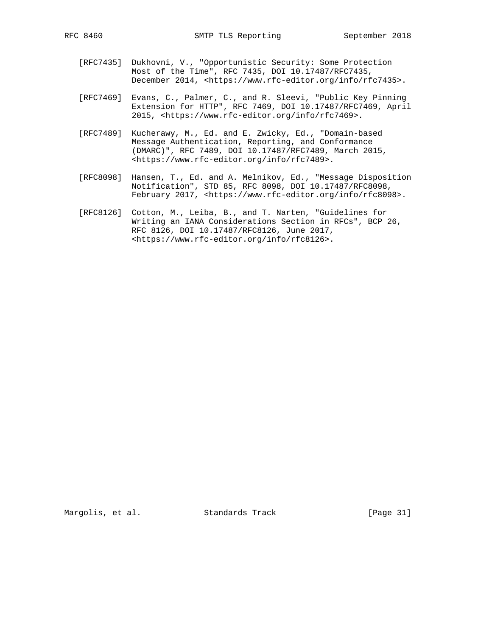- [RFC7435] Dukhovni, V., "Opportunistic Security: Some Protection Most of the Time", RFC 7435, DOI 10.17487/RFC7435, December 2014, <https://www.rfc-editor.org/info/rfc7435>.
- [RFC7469] Evans, C., Palmer, C., and R. Sleevi, "Public Key Pinning Extension for HTTP", RFC 7469, DOI 10.17487/RFC7469, April 2015, <https://www.rfc-editor.org/info/rfc7469>.
- [RFC7489] Kucherawy, M., Ed. and E. Zwicky, Ed., "Domain-based Message Authentication, Reporting, and Conformance (DMARC)", RFC 7489, DOI 10.17487/RFC7489, March 2015, <https://www.rfc-editor.org/info/rfc7489>.
- [RFC8098] Hansen, T., Ed. and A. Melnikov, Ed., "Message Disposition Notification", STD 85, RFC 8098, DOI 10.17487/RFC8098, February 2017, <https://www.rfc-editor.org/info/rfc8098>.
- [RFC8126] Cotton, M., Leiba, B., and T. Narten, "Guidelines for Writing an IANA Considerations Section in RFCs", BCP 26, RFC 8126, DOI 10.17487/RFC8126, June 2017, <https://www.rfc-editor.org/info/rfc8126>.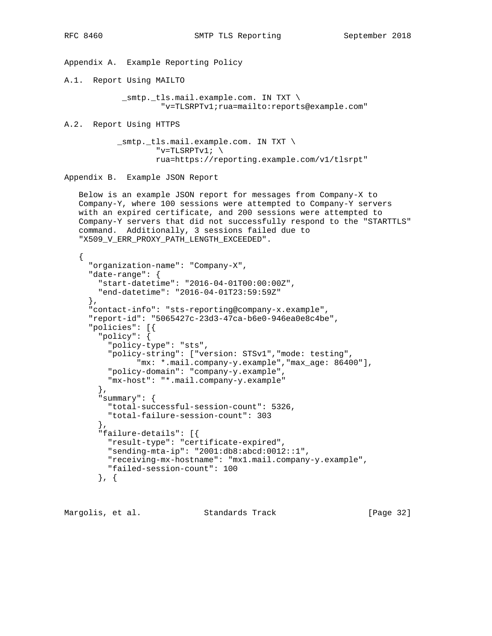{

Appendix A. Example Reporting Policy

A.1. Report Using MAILTO

 \_smtp.\_tls.mail.example.com. IN TXT \ "v=TLSRPTv1;rua=mailto:reports@example.com"

A.2. Report Using HTTPS

 \_smtp.\_tls.mail.example.com. IN TXT \ "v=TLSRPTv1;  $\setminus$ rua=https://reporting.example.com/v1/tlsrpt"

Appendix B. Example JSON Report

 Below is an example JSON report for messages from Company-X to Company-Y, where 100 sessions were attempted to Company-Y servers with an expired certificate, and 200 sessions were attempted to Company-Y servers that did not successfully respond to the "STARTTLS" command. Additionally, 3 sessions failed due to "X509\_V\_ERR\_PROXY\_PATH\_LENGTH\_EXCEEDED".

```
 "organization-name": "Company-X",
"date-range": {
 "start-datetime": "2016-04-01T00:00:00Z",
 "end-datetime": "2016-04-01T23:59:59Z"
},
"contact-info": "sts-reporting@company-x.example",
"report-id": "5065427c-23d3-47ca-b6e0-946ea0e8c4be",
"policies": [{
  "policy": {
    "policy-type": "sts",
    "policy-string": ["version: STSv1","mode: testing",
          "mx: *.mail.company-y.example","max_age: 86400"],
    "policy-domain": "company-y.example",
    "mx-host": "*.mail.company-y.example"
 },
  "summary": {
    "total-successful-session-count": 5326,
    "total-failure-session-count": 303
  },
  "failure-details": [{
   "result-type": "certificate-expired",
    "sending-mta-ip": "2001:db8:abcd:0012::1",
    "receiving-mx-hostname": "mx1.mail.company-y.example",
    "failed-session-count": 100
 }, {
```
Margolis, et al. Standards Track [Page 32]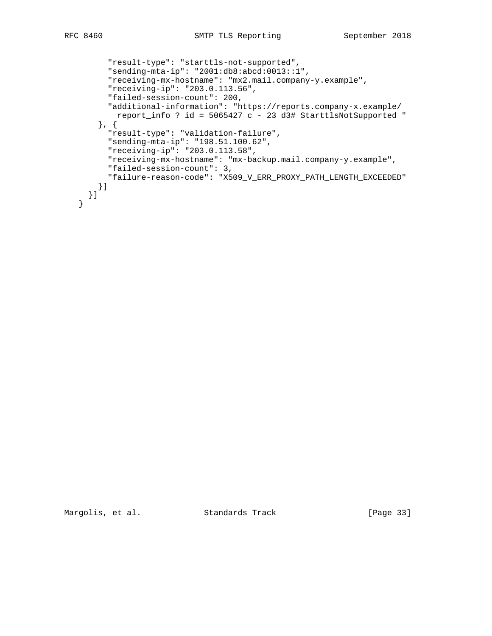```
 "result-type": "starttls-not-supported",
    "sending-mta-ip": "2001:db8:abcd:0013::1",
    "receiving-mx-hostname": "mx2.mail.company-y.example",
    "receiving-ip": "203.0.113.56",
    "failed-session-count": 200,
    "additional-information": "https://reports.company-x.example/
      report_info ? id = 5065427 c - 23 d3# StarttlsNotSupported "
  }, {
    "result-type": "validation-failure",
    "sending-mta-ip": "198.51.100.62",
    "receiving-ip": "203.0.113.58",
    "receiving-mx-hostname": "mx-backup.mail.company-y.example",
    "failed-session-count": 3,
    "failure-reason-code": "X509_V_ERR_PROXY_PATH_LENGTH_EXCEEDED"
  }]
}]
```
Margolis, et al. Standards Track [Page 33]

}